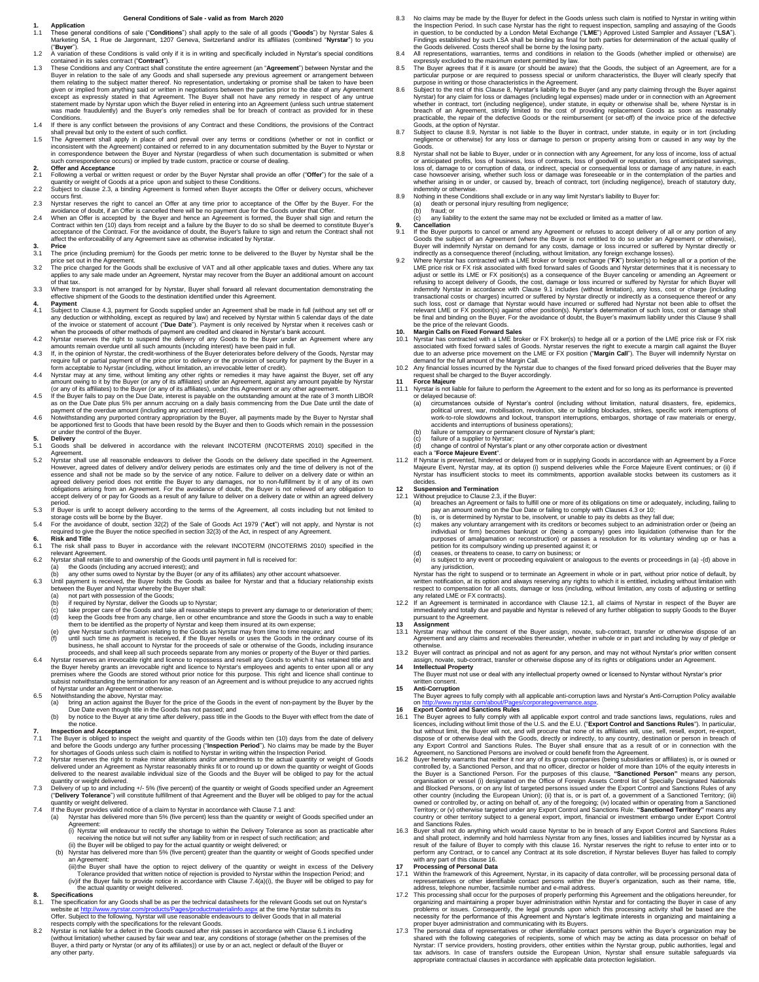### **General Conditions of Sale - valid as from March 2020**

**1. Application**<br>1.1 These general conditions of sale ("**Conditions**") shall apply to the sale of all goods ("**Goods**") by Nyrstar Sales &<br>Marketing SA, 1 Rue de Jargonnant, 1207 Geneva, Switzerland and/or its affiliates (

- ("**Buyer**"). 1.2 A variation of these Conditions is valid only if it is in writing and specifically included in Nyrstar's special conditions
- contained in its sales contract ("Contract").<br>1.3 These Conditions and any Contract shall constitute the entire agreement (an "Agreement") between Nyrstar and the<br>Buyer in relation to the sale of any Goods and shall supers given or implied from anything said or written in negotiations between the parties prior to the date of any Agreement<br>except as expressly stated in that Agreement. The Buyer shall not have any remedy in respect of any untr Conditions. 1.4 If there is any conflict between the provisions of any Contract and these Conditions, the provisions of the Contract
- shall prevail but only to the extent of such conflict.
- 1.5 The Agreement shall apply in place of and prevail over any terms or conditions (whether or not in conflict or inconsistent with the Agreement) contained or referred to in any documentation submitted by the Buyer to Nyr

# **2. Offer and Acceptance**<br>2.1 Following a verbal or wr

2.1 Following a verbal or written request or order by the Buyer Nyrstar shall provide an offer ("**Offer**") for the sale of a quantity or weight of Goods at a price upon and subject to these Conditions.

- 2.2 Subject to clause 2.3, a binding Agreement is formed when Buyer accepts the Offer or delivery occurs, whichever
- occurs first. 2.3 Nyrstar reserves the right to cancel an Offer at any time prior to acceptance of the Offer by the Buyer. For the avoidance of doubt, if an Offer is cancelled there will be no payment due for the Goods under that Offer.
- 2.4 When an Offer is accepted by the Buyer and hence an Agreement is formed, the Buyer shall sign and return the Contract within ten (10) days from receipt and a failure by the Buyer's do so shall be deemed to constitute B
- **3. Price**
- 3.1 The price (including premium) for the Goods per metric tonne to be delivered to the Buyer by Nyrstar shall be the<br>price set out in the Agreement.<br>3.2 The price charged for the Goods shall be exclusive of VAT and all ot
- of that tax.
- 3.3 Where transport is not arranged for by Nyrstar, Buyer shall forward all relevant documentation demonstrating the effective shipment of the Goods to the destination identified under this Agreement.
- 4. **Payment** to Clause 4.3, payment for Goods supplied under an Agreement shall be made in full (without any set off or Subject to Clause 4.3, payment for Goods supplied under an Agreement shall be made in full (without an
- 
- amounts remain overdue until all such amounts (including interest) have been paid in full.<br>4.3 If, in the opinion of Nyrstar, the credit-worthiness of the Buyer deteriorates before delivery of the Goods, Nyrstar may<br>requir
- form acceptable to Nyrstar (including, without limitation, an irrevocable letter of credit).<br>4.4 Myrstar may at any time, without limiting any other rights or remedies it may have against the Buyer, set off any<br>amount owin
- 
- payment of the overdue amount (including any accrued interest). 4.6 Notwithstanding any purported contrary appropriation by the Buyer, all payments made by the Buyer to Nyrstar shall be apportioned first to Goods that have been resold by the Buyer and then to Goods which remain in the possession or under the control of the Buyer.

- **5. Delivery** 5.1 Goods shall be delivered in accordance with the relevant INCOTERM (INCOTERMS 2010) specified in the Agreement.
- 5.2 Nystar shall use all reasonable endeavors to deliver the Goods on the delivery date specified in the Agreement.<br>However, agreed dates of delivery and/or delivery eriods are estimates only and the time of delivery is no accept delivery of or pay for Goods as a result of any failure to deliver on a delivery date or within an agreed delivery
- period.<br>5.3 If Buyer is unfit to accept delivery according to the terms of the Agreement, all costs including but not limited to<br>storage costs will be borne by the Buyer.<br>5.4 For the avoidance of doubt, section 32(2) of th
- required to give the Buyer the notice specified in section 32(3) of the Act, in respect of any Agreement.
- **6. Risk and Title** 6.1 The risk shall pass to Buyer in accordance with the relevant INCOTERM (INCOTERMS 2010) specified in the relevant Agreement.
- 
- 6.2 Nyrstar shall retain title to and ownership of the Goods until payment in full is received for:<br>(a) the Goods (including any accrued interest); and<br>(b) any other sums owed to Nyrstar by the Buyer (or any of its affilia
- 6.3 Until payment is received, the Buyer holds the Goods as bailee for Nyrstar and that a fiduciary relationship exists<br>between the Buyer and Nyrstar whereby the Buyer shall:<br>(a) in required by Nyrstar, deliver the Goods;<br>
	-
	-
	-
	-
	- (d) keep the Goods free from any charge, lien or other encumbrance and store the Goods in such a way to enable<br>them to be identified as the property of Nyrstar and keep them insured at its own expense;<br>(e) give Nyrstar suc business, he shall account to Nyrstar for the proceeds of sale or otherwise of the Goods, including insurance proceeds, and shall keep all such proceeds separate from any monies or property of the Buyer or third parties.
- 6.4 Nyrstar reserves an irrevocable right and licence to repossess and resell any Goods to which it has retained title and<br>the Buyer hereby grants an irrevocable right and licence to Nyrstar's employees and agents to enter
- of Nyrstar under an Agreement or otherwise. 6.5 Notwithstanding the above, Nyrstar may:
	- a) bring an action against the Buyer for the price of the Goods in the event of non-payment by the Buyer by the<br>Due Date even though title in the Goods has not passed; and<br>(b) by notice to the Buyer at any time after deliv

## the notice.

- **7.** Inspection and Acceptance<br>
T.1 The Buyer is obliged to inspect the weight and quantity of the Goods within ten (10) days from the date of delivery<br>
and before the Goods undergo any further processing ("Inspection Peri
- delivered to the nearest available individual size of the Goods and the Buyer will be obliged to pay for the actual
- quantity or weight delivered.<br>7.3 Delivery of up to and including +/- 5% (five percent) of the quantity or weight of Goods specified under an Agreement<br>("Delivery Tolerance") will constitute fulfillment of that Agreement a
- From the Buyer provides valid notice of a claim to Nyrstar in accordance with Clause 7.1 and:<br>
(a) Nyrstar has delivered more than 5% (five percent) less than the quantity or weight
	- Nyrstar has delivered more than 5% (five percent) less than the quantity or weight of Goods specified under an<br>Agreement:
	- Agreement:<br>(i) Nyrstar will endeavour to rectify the shortage to within the Delivery Tolerance as soon as practicable after<br>receiving the notice but will not suffer any liability from or in respect of such rectification; a
	- (b) Nyrstar has delivered more than 5% (five percent) greater than the quantity or weight of Goods specified under an Agreement:
		-
	- (iii) the Buyer shall have the option to reject delivery of the quantity or weight in excess of the Delivery<br>Tolerance provided that written notice of rejection is provided to Nyrstar within the Inspection Period; and<br>(iv
- **8. Specifications**
- 8.1. The specification for any Goods shall be as per the technical datasheets for the relevant Goods set out on Nyrstar's website at <http://www.nyrstar.com/products/Pages/productmaterialinfo.aspx> at the time Nyrstar submits its<br>Offer. Subject to the following, Nyrstar will use reasonable endeavours to deliver Goods that in all material<br>respec
- (without limitation) whether caused by fair wear and tear, any conditions of storage (whether on the premises of the<br>Buyer, a third party or Nyrstar (or any of its affiliates)) or use by or an act, neglect or default of th
- 8.3 No claims may be made by the Buyer for defect in the Goods unless such claim is notified to Nyrstar in writing within the Inspection Period. In such case Nyrstar has the right to request inspection, sampling and assaying of the Goods<br>in question, to be conducted by a London Metal Exchange ("LME") Approved Listed Sampler and Assayer ("LSA" the Goods delivered. Costs thereof shall be borne by the losing party. 8.4 All representations, warranties, terms and conditions in relation to the Goods (whether implied or otherwise) are
- 
- expressly excluded to the maximum extent permitted by law.<br>8.5 The Buyer agrees that if it is aware (or should be aware) that the Goods, the subject of an Agreement, are for a<br>particular purpose or are required to possess
- 8.6 Subject to the rest of this Clause 8, Nyrsta's liability to the Buyer (and any party claiming through the Buyer Myrstay is experient Myrstay in the and the streament whether in contract, tort (including equigence), und Goods, at the option of Nyrstar.
- 8.7 Subject to clause 8.9, Nyrstar is not liable to the Buyer in contract, under statute, in equity or in tort (including negligence or otherwise) for any loss or damage to person or property arising from or caused in any way by the<br>Goods<br>Goods
- Goods.<br>8.8 Nyrstar shall not be liable to Buyer, under or in connection with any Agreement, for any loss of income, loss of actual<br>3.8 Nyrstar shall not be liable to Buyer, under or in connection with any Agreement, for an case howsoever arising, whether such loss or damage was foreseeable or in the contemplation of the parties and<br>whether arising in or under, or caused by, breach of contract, tort (including negligence), breach of statutory indemnity or otherwise.
- 8.9 Nothing in these Conditions shall exclude or in any way limit Nyrstar's liability to Buyer for: (a) death or personal injury resulting from negligence;
	-
	-
- (b) fraud; or<br> **9.** Cancellation<br> **9.** Cancellation<br>
9. 1 If the Buyer purports to cancel or amend any Agreement or refuses to accept delivery of all or any portion of any<br>
9.1 If the Buyer purports to cancel or amend any
- indirectly as a consequence thereof (including, without limitation, any foreign exchange losses).<br>Where Nyrstar has contracted with a LME broker or foreign exchange ("FX") broker(s) to hedge all or a portion of the<br>LME pri refusing to accept delivery of Goods, the cost, damage or loss incurred or suffered by Nyrstar for which Buyer will<br>indemnify Nyrstar in accordance with Clause 9.1 includes (without limitation), any loss, cost or charge (i transactional costs or charges) incurred or suffered by Nyrstar directly or indirectly as a consequence thereof or any<br>such loss, cost or damage that Nyrstar would have incurred or suffered had Nyrstar not been able to off

# be the price of the relevant Goods. **10. Margin Calls on Fixed Forward Sales**

- 10.1 Nyrstar has contracted with a LME broker or FX broker(s) to hedge all or a portion of the LME price risk or FX risk associated with fixed forward sales of Goods. Nyrstar reserves the right to execute a margin call against the Buyer<br>due to an adverse price movement on the LME or FX position ("**Margin Call**"). The Buyer will indemnify Nyr 10.2 Any financial losses incurred by the Nyrstar due to changes of the fixed forward priced deliveries that the Buyer may
- request shall be charged to the Buyer accordingly. **11 Force Majeure**
- 11.1 Nyrstar is not liable for failure to perform the Agreement to the extent and for so long as its performance is prevented or delayed because of:
	- a) circumstances outside of Nyrstar's control (including without limitation, natural disasters, fire, epidemics,<br>political unrest, war, mobilisation, revolution, site or building blockades, strikes, specific work interrupt accidents and interruptions of business operations);
	-
	- (b) failure or temporary or permanent closure of Nyrstar's plant;<br>(c) failure of a supplier to Nyrstar;<br>(d) change of control of Nyrstar's plant or any other corporate action or divestment
- each a "**Force Majeure Event**". 11.2 If Nyrstar is prevented, hindered or delayed from or in supplying Goods in accordance with an Agreement by a Force<br>Majeure Event, Nyrstar may, at its option (i) suspend deliveries while the Force Majeure Event continu

## **Suspension and Termination**

- 
- 
- 12.1 Without prejudice to Clause 2.3, if the Buyer:<br>
Suspension and Termination<br>
2.1 Without prejudice to Clause 2.3, if the Buyer:<br>
(a) breaches an Agreement or fails to fulfill one or more of its obligations on time or
	-

Nyrstar has the right to suspend or to terminate an Agreement in whole or in part, without prior notice of default, by written notification, at its option and always reserving any rights to which it is entitled, including without limitation with<br>respect to compensation for all costs, damage or loss (including, without limitation, any costs any related LME or FX contracts).

- 12.2 If an Agreement is terminated in accordance with Clause 12.1, all claims of Nyrstar in respect of the Buyer are<br>immediately and totally due and payable and Nyrstar is relieved of any further obligation to supply Goods pursuant to the Agreement.
- **13 Assignment**
- 13.1 Nyrstar may without the consent of the Buyer assign, novate, sub-contract, transfer or otherwise dispose of an<br>Agreement and any claims and receivables thereunder, whether in whole or in part and including by way of p otherwise.
- 13.2 Buyer will contract as principal and not as agent for any person, and may not without Nyrstar's prior written consent assign, novate, sub-contract, transfer or otherwise dispose any of its rights or obligations under an Agreement.
- **14 Intellectual Property**  The Buyer must not use or deal with any intellectual property owned or licensed to Nyrstar without Nyrstar's prior written consent.
- **15 Anti-Corruption**

The Buyer agrees to fully comply with all applicable anti-corruption laws and Nyrstar's Anti-Corruption Policy available<br>Dr. http://www.pyrstar.com/about/Pages/corporategovernance aspx o[n http://www.nyrstar.com/about/Pages/corporategovernance.aspx.](http://www.nyrstar.com/about/Pages/corporategovernance.aspx)  **16 Export Control and Sanctions Rules**

- 
- 16.1 The Buyer agrees to fully comply with all applicable export control and trade sanctions laws, regulations, rules and<br>licences, including without limit those of the U.S. and the E.U. ("Export Control and Sanctions Rule but without limit, the Buyer will not, and will procure that none of its affiliates will, use, sell, resell, export, re-export, dispose of or otherwise deal with the Goods, directly or indirectly, to any country, destinati
- the Buyer is a Sanctioned Person. For the purposes of this clause, "**Sanctioned Person**" means any person, organisation or vessel (i) designated on the Office of Foreign Assets Control list of Specially Designated National country or other territory subject to a general export, import, financial or investment embargo under Export Control and Sanctions Rules.
- 16.3 Buyer shall not do anything which would cause Nyrstar to be in breach of any Export Control and Sanctions Rules<br>and shall protect, indemnify and hold harmless Nyrstar from any fines, losses and liabilities incurred by

- perform any Contract, or to cancel any Contract at its sole discretion, if Nyrstar believes Buyer has failed to comply<br>with any part of this clause 16.<br>The processing of Personal Data<br>17.1 Within the framework of this Agre
- 17.2 This processing shall occur for the purposes of properly performing this Agreement and the obligations hereunder, for organizing and maintaining a proper buyer administration within Nyrstar and for contacting the Buyer in case of any<br>problems or issues. Consequently, the legal grounds upon which this processing activity shall be based are
- shared with the following categories of recipients, some of which may be acting as data processor on behalf of<br>Nyrstar: IT service providers, hosting providers, other entities within the Nyrstar group, public authorities,